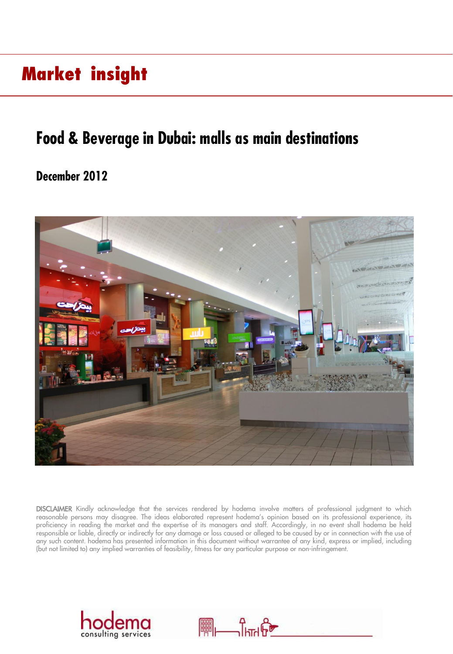## **Market insight**

## **Food & Beverage in Dubai: malls as main destinations**

## **December 2012**



DISCLAIMER Kindly acknowledge that the services rendered by hodema involve matters of professional judgment to which reasonable persons may disagree. The ideas elaborated represent hodema's opinion based on its professional experience, its proficiency in reading the market and the expertise of its managers and staff. Accordingly, in no event shall hodema be held responsible or liable, directly or indirectly for any damage or loss caused or alleged to be caused by or in connection with the use of any such content. hodema has presented information in this document without warrantee of any kind, express or implied, including (but not limited to) any implied warranties of feasibility, fitness for any particular purpose or non-infringement.



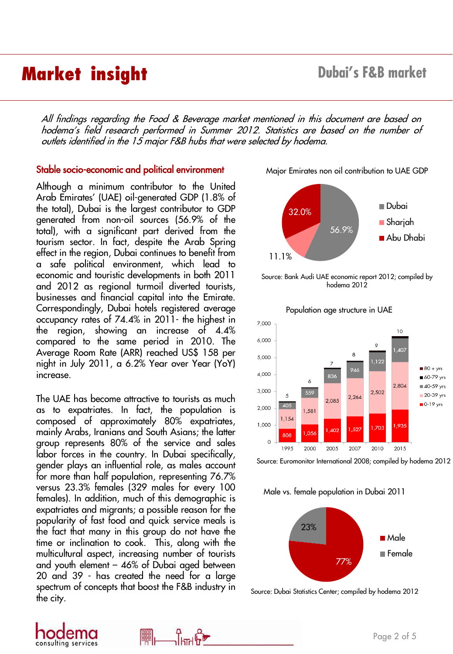## **Market insight Dubai's F&B market**

All findings regarding the Food & Beverage market mentioned in this document are based on hodema's field research performed in Summer 2012. Statistics are based on the number of outlets identified in the <sup>15</sup> major F&B hubs that were selected by hodema.

### Stable socio-economic and political environment

Although a minimum contributor to the United Arab Emirates' (UAE) oil-generated GDP (1.8% of the total), Dubai is the largest contributor to GDP generated from non-oil sources (56.9% of the total), with a significant part derived from the tourism sector. In fact, despite the Arab Spring effect in the region, Dubai continues to benefit from a safe political environment, which lead to economic and touristic developments in both 2011 and 2012 as regional turmoil diverted tourists, businesses and financial capital into the Emirate. Correspondingly, Dubai hotels registered average occupancy rates of 74.4% in 2011- the highest in the region, showing an increase of 4.4% compared to the same period in 2010. The Average Room Rate (ARR) reached US\$ 158 per night in July 2011, a 6.2% Year over Year (YoY) increase.

The UAE has become attractive to tourists as much as to expatriates. In fact, the population is composed of approximately 80% expatriates, mainly Arabs, Iranians and South Asians; the latter group represents 80% of the service and sales labor forces in the country. In Dubai specifically, gender plays an influential role, as males account for more than half population, representing 76.7% versus 23.3% females (329 males for every 100 females). In addition, much of this demographic is expatriates and migrants; a possible reason for the popularity of fast food and quick service meals is the fact that many in this group do not have the time or inclination to cook. This, along with the multicultural aspect, increasing number of tourists and youth element – 46% of Dubai aged between 20 and 39 - has created the need for a large spectrum of concepts that boost the F&B industry in the city.

Major Emirates non oil contribution to UAE GDP



Source: Bank Audi UAE economic report 2012; compiled by hodema 2012



Population age structure in UAE

Source: Euromonitor International 2008; compiled by hodema 2012

Male vs. female population in Dubai 2011



Source: Dubai Statistics Center; compiled by hodema 2012



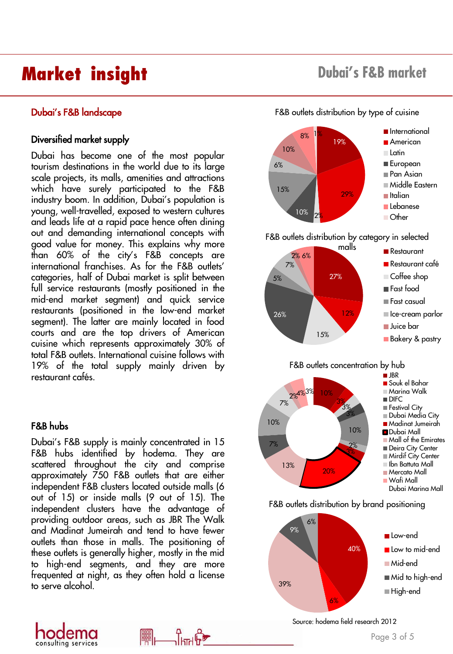# **Market insight Dubai's F&B market**

### Diversified market supply

Dubai has become one of the most popular tourism destinations in the world due to its large scale projects, its malls, amenities and attractions which have surely participated to the F&B industry boom. In addition, Dubai's population is young, well-travelled, exposed to western cultures and leads life at a rapid pace hence often dining out and demanding international concepts with good value for money. This explains why more than 60% of the city's F&B concepts are international franchises. As for the F&B outlets' categories, half of Dubai market is split between full service restaurants (mostly positioned in the mid-end market segment) and quick service restaurants (positioned in the low-end market segment). The latter are mainly located in food courts and are the top drivers of American cuisine which represents approximately 30% of total F&B outlets. International cuisine follows with 19% of the total supply mainly driven by restaurant cafés.

### F&B hubs

consulting services

Dubai's F&B supply is mainly concentrated in 15 F&B hubs identified by hodema. They are scattered throughout the city and comprise approximately 750 F&B outlets that are either independent F&B clusters located outside malls (6 out of 15) or inside malls (9 out of 15). The independent clusters have the advantage of providing outdoor areas, such as JBR The Walk and Madinat Jumeirah and tend to have fewer outlets than those in malls. The positioning of these outlets is generally higher, mostly in the mid to high-end segments, and they are more frequented at night, as they often hold a license to serve alcohol.

瞷

**Dubai's F&B landscape** F&B outlets distribution by type of cuisine



Source: hodema field research 2012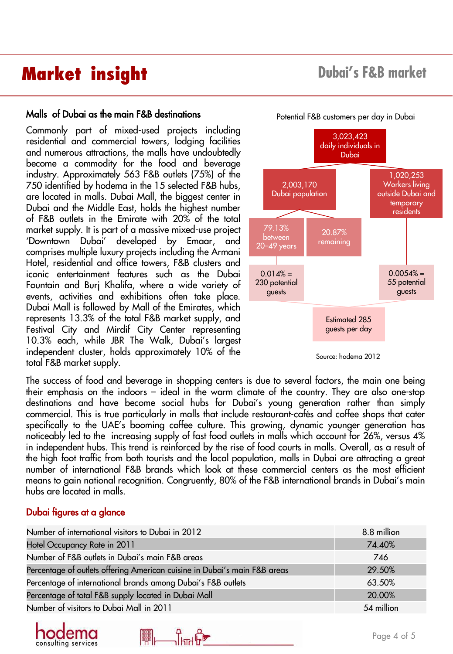# **Market insight Dubai's F&B market**

### Malls of Dubai as the main F&B destinations

Commonly part of mixed-used projects including residential and commercial towers, lodging facilities and numerous attractions, the malls have undoubtedly become a commodity for the food and beverage industry. Approximately 563 F&B outlets (75%) of the 750 identified by hodema in the 15 selected F&B hubs, are located in malls. Dubai Mall, the biggest center in Dubai and the Middle East, holds the highest number of F&B outlets in the Emirate with 20% of the total market supply. It is part of a massive mixed-use project 'Downtown Dubai' developed by Emaar, and comprises multiple luxury projects including the Armani Hotel, residential and office towers, F&B clusters and iconic entertainment features such as the Dubai Fountain and Burj Khalifa, where a wide variety of events, activities and exhibitions often take place. Dubai Mall is followed by Mall of the Emirates, which represents 13.3% of the total F&B market supply, and Festival City and Mirdif City Center representing 10.3% each, while JBR The Walk, Dubai's largest independent cluster, holds approximately 10% of the total F&B market supply.



Source: hodema 2012

The success of food and beverage in shopping centers is due to several factors, the main one being their emphasis on the indoors – ideal in the warm climate of the country. They are also one-stop destinations and have become social hubs for Dubai's young generation rather than simply commercial. This is true particularly in malls that include restaurant-cafés and coffee shops that cater specifically to the UAE's booming coffee culture. This growing, dynamic younger generation has noticeably led to the increasing supply of fast food outlets in malls which account for 26%, versus 4% in independent hubs. This trend is reinforced by the rise of food courts in malls. Overall, as a result of the high foot traffic from both tourists and the local population, malls in Dubai are attracting a great number of international F&B brands which look at these commercial centers as the most efficient means to gain national recognition. Congruently, 80% of the F&B international brands in Dubai's main hubs are located in malls.

### Dubai figures at a glance

| Number of international visitors to Dubai in 2012                         | 8.8 million |
|---------------------------------------------------------------------------|-------------|
| Hotel Occupancy Rate in 2011                                              | 74.40%      |
| Number of F&B outlets in Dubai's main F&B areas                           | 746         |
| Percentage of outlets offering American cuisine in Dubai's main F&B areas | 29.50%      |
| Percentage of international brands among Dubai's F&B outlets              | 63.50%      |
| Percentage of total F&B supply located in Dubai Mall                      | 20.00%      |
| Number of visitors to Dubai Mall in 2011                                  | 54 million  |